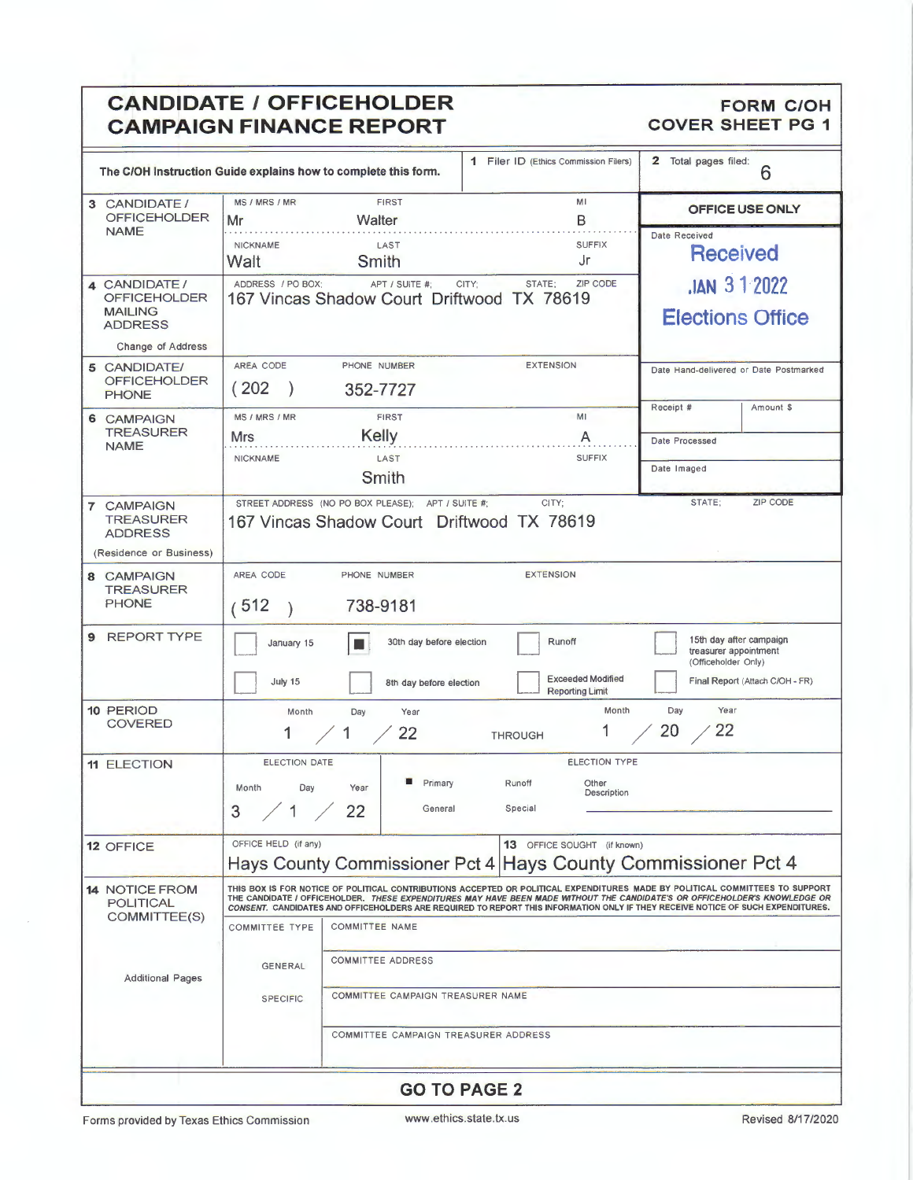### **CANDIDATE / OFFICEHOLDER** FORM C/OH **CANDIDATE / OFFICEHOLDER** FORM C/OH **COVER SHEET PG 1 CAMPAIGN FINANCE REPORT**

|                                                                             | The C/OH Instruction Guide explains how to complete this form.                                                                                                                                                                                                                                                                                                                                | 1 Filer ID (Ethics Commission Filers)              | $\mathbf{2}$<br>Total pages filed:<br>6                                 |  |  |  |  |
|-----------------------------------------------------------------------------|-----------------------------------------------------------------------------------------------------------------------------------------------------------------------------------------------------------------------------------------------------------------------------------------------------------------------------------------------------------------------------------------------|----------------------------------------------------|-------------------------------------------------------------------------|--|--|--|--|
| 3 CANDIDATE /<br><b>OFFICEHOLDER</b><br><b>NAME</b>                         | <b>FIRST</b><br>MS / MRS / MR<br>Walter<br>Mr                                                                                                                                                                                                                                                                                                                                                 | MI<br>В                                            | OFFICE USE ONLY                                                         |  |  |  |  |
|                                                                             | <b>NICKNAME</b><br>LAST<br>Walt<br>Smith                                                                                                                                                                                                                                                                                                                                                      | <b>SUFFIX</b><br>Jr                                | Date Received<br><b>Received</b>                                        |  |  |  |  |
| 4 CANDIDATE /<br><b>OFFICEHOLDER</b><br><b>MAILING</b><br><b>ADDRESS</b>    | ADDRESS / PO BOX:<br>APT / SUITE #:<br>CITY;<br>167 Vincas Shadow Court Driftwood TX 78619                                                                                                                                                                                                                                                                                                    | <b>JAN 312022</b><br><b>Elections Office</b>       |                                                                         |  |  |  |  |
| Change of Address                                                           |                                                                                                                                                                                                                                                                                                                                                                                               |                                                    |                                                                         |  |  |  |  |
| 5 CANDIDATE/<br><b>OFFICEHOLDER</b><br><b>PHONE</b>                         | AREA CODE<br>PHONE NUMBER<br>(202)<br>352-7727                                                                                                                                                                                                                                                                                                                                                | <b>EXTENSION</b>                                   | Date Hand-delivered or Date Postmarked<br>Receipt #<br>Amount \$        |  |  |  |  |
| 6 CAMPAIGN                                                                  | <b>FIRST</b><br>MS / MRS / MR                                                                                                                                                                                                                                                                                                                                                                 | MI                                                 |                                                                         |  |  |  |  |
| <b>TREASURER</b><br><b>NAME</b>                                             | Kelly<br>Mrs.                                                                                                                                                                                                                                                                                                                                                                                 | A                                                  | Date Processed                                                          |  |  |  |  |
|                                                                             | <b>NICKNAME</b><br>LAST<br>Smith                                                                                                                                                                                                                                                                                                                                                              | <b>SUFFIX</b>                                      | Date Imaged                                                             |  |  |  |  |
| 7 CAMPAIGN<br><b>TREASURER</b><br><b>ADDRESS</b><br>(Residence or Business) | STREET ADDRESS (NO PO BOX PLEASE); APT / SUITE #;<br>167 Vincas Shadow Court Driftwood TX 78619                                                                                                                                                                                                                                                                                               | CITY:                                              | STATE;<br><b>ZIP CODE</b>                                               |  |  |  |  |
| 8 CAMPAIGN                                                                  | AREA CODE<br>PHONE NUMBER                                                                                                                                                                                                                                                                                                                                                                     | <b>EXTENSION</b>                                   |                                                                         |  |  |  |  |
| <b>TREASURER</b>                                                            |                                                                                                                                                                                                                                                                                                                                                                                               |                                                    |                                                                         |  |  |  |  |
| <b>PHONE</b>                                                                | (512)<br>738-9181                                                                                                                                                                                                                                                                                                                                                                             |                                                    |                                                                         |  |  |  |  |
| 9 REPORT TYPE                                                               | 30th day before election<br>January 15                                                                                                                                                                                                                                                                                                                                                        | Runoff                                             | 15th day after campaign<br>treasurer appointment<br>(Officeholder Only) |  |  |  |  |
|                                                                             | July 15<br>8th day before election                                                                                                                                                                                                                                                                                                                                                            | <b>Exceeded Modified</b><br><b>Reporting Limit</b> | Final Report (Attach C/OH - FR)                                         |  |  |  |  |
| 10 PERIOD                                                                   | Month<br>Day<br>Year                                                                                                                                                                                                                                                                                                                                                                          | Month                                              | Year<br>Day                                                             |  |  |  |  |
| <b>COVERED</b>                                                              | 1<br>22<br>1                                                                                                                                                                                                                                                                                                                                                                                  | <b>THROUGH</b>                                     | 22<br>20                                                                |  |  |  |  |
| <b>11 ELECTION</b>                                                          | <b>ELECTION DATE</b>                                                                                                                                                                                                                                                                                                                                                                          | <b>ELECTION TYPE</b>                               |                                                                         |  |  |  |  |
|                                                                             | Primary<br>Runoff<br>Other<br>Month<br>Day<br>Year<br>Description                                                                                                                                                                                                                                                                                                                             |                                                    |                                                                         |  |  |  |  |
|                                                                             | 22<br>3<br>General<br>$\mathbf{1}$                                                                                                                                                                                                                                                                                                                                                            | Special                                            |                                                                         |  |  |  |  |
| 12 OFFICE                                                                   | OFFICE HELD (if any)                                                                                                                                                                                                                                                                                                                                                                          | 13 OFFICE SOUGHT (if known)                        |                                                                         |  |  |  |  |
|                                                                             | Hays County Commissioner Pct 4   Hays County Commissioner Pct 4                                                                                                                                                                                                                                                                                                                               |                                                    |                                                                         |  |  |  |  |
| <b>14 NOTICE FROM</b><br><b>POLITICAL</b>                                   | THIS BOX IS FOR NOTICE OF POLITICAL CONTRIBUTIONS ACCEPTED OR POLITICAL EXPENDITURES MADE BY POLITICAL COMMITTEES TO SUPPORT<br>THE CANDIDATE / OFFICEHOLDER. THESE EXPENDITURES MAY HAVE BEEN MADE WITHOUT THE CANDIDATE'S OR OFFICEHOLDER'S KNOWLEDGE OR<br>CONSENT. CANDIDATES AND OFFICEHOLDERS ARE REQUIRED TO REPORT THIS INFORMATION ONLY IF THEY RECEIVE NOTICE OF SUCH EXPENDITURES. |                                                    |                                                                         |  |  |  |  |
| COMMITTEE(S)                                                                | <b>COMMITTEE TYPE</b><br><b>COMMITTEE NAME</b>                                                                                                                                                                                                                                                                                                                                                |                                                    |                                                                         |  |  |  |  |
|                                                                             | <b>COMMITTEE ADDRESS</b>                                                                                                                                                                                                                                                                                                                                                                      |                                                    |                                                                         |  |  |  |  |
| <b>Additional Pages</b>                                                     | <b>GENERAL</b>                                                                                                                                                                                                                                                                                                                                                                                |                                                    |                                                                         |  |  |  |  |
|                                                                             | COMMITTEE CAMPAIGN TREASURER NAME<br><b>SPECIFIC</b>                                                                                                                                                                                                                                                                                                                                          |                                                    |                                                                         |  |  |  |  |
|                                                                             | COMMITTEE CAMPAIGN TREASURER ADDRESS                                                                                                                                                                                                                                                                                                                                                          |                                                    |                                                                         |  |  |  |  |
|                                                                             |                                                                                                                                                                                                                                                                                                                                                                                               |                                                    |                                                                         |  |  |  |  |
|                                                                             |                                                                                                                                                                                                                                                                                                                                                                                               | <b>GO TO PAGE 2</b>                                |                                                                         |  |  |  |  |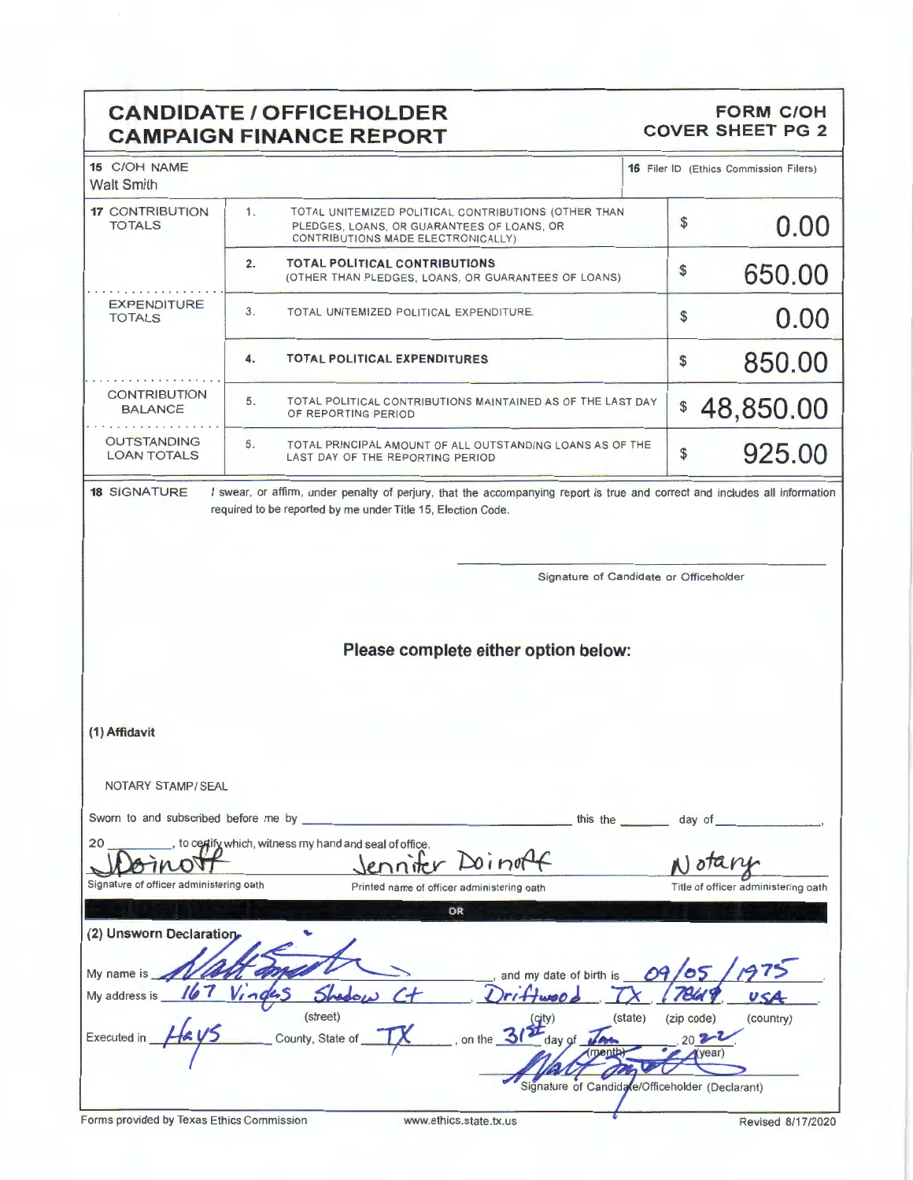### **CANDIDATE/ OFFICEHOLDER CAMPAIGN FINANCE REPORT**

### **FORM C/OH COVER SHEET PG 2**

| 15 C/OH NAME<br><b>Walt Smith</b>        |                                                                                                                                                                                             |         | 16 Filer ID (Ethics Commission Filers) |
|------------------------------------------|---------------------------------------------------------------------------------------------------------------------------------------------------------------------------------------------|---------|----------------------------------------|
| <b>17 CONTRIBUTION</b><br><b>TOTALS</b>  | 1.<br>TOTAL UNITEMIZED POLITICAL CONTRIBUTIONS (OTHER THAN<br>PLEDGES, LOANS, OR GUARANTEES OF LOANS, OR<br>CONTRIBUTIONS MADE ELECTRONICALLY)                                              |         | 0.00                                   |
|                                          | 2.<br><b>TOTAL POLITICAL CONTRIBUTIONS</b><br>(OTHER THAN PLEDGES, LOANS, OR GUARANTEES OF LOANS)                                                                                           | \$      | 650.00                                 |
| <b>EXPENDITURE</b><br><b>TOTALS</b>      | 3.<br>TOTAL UNITEMIZED POLITICAL EXPENDITURE.                                                                                                                                               | \$      | 0.00                                   |
|                                          | TOTAL POLITICAL EXPENDITURES<br>4.                                                                                                                                                          | \$      | 850.00                                 |
| <b>CONTRIBUTION</b><br><b>BALANCE</b>    | 5.<br>TOTAL POLITICAL CONTRIBUTIONS MAINTAINED AS OF THE LAST DAY<br>OF REPORTING PERIOD                                                                                                    | \$      | 48,850.00                              |
| <b>OUTSTANDING</b><br><b>LOAN TOTALS</b> | 6.<br>TOTAL PRINCIPAL AMOUNT OF ALL OUTSTANDING LOANS AS OF THE<br>LAST DAY OF THE REPORTING PERIOD                                                                                         | \$      | 925.00                                 |
| <b>18 SIGNATURE</b>                      | I swear, or affirm, under penalty of perjury, that the accompanying report is true and correct and includes all information<br>required to be reported by me under Title 15, Election Code. |         |                                        |
|                                          | Signature of Candidate or Officeholder                                                                                                                                                      |         |                                        |
|                                          |                                                                                                                                                                                             |         |                                        |
|                                          |                                                                                                                                                                                             |         |                                        |
|                                          | Please complete either option below:                                                                                                                                                        |         |                                        |
|                                          |                                                                                                                                                                                             |         |                                        |
|                                          |                                                                                                                                                                                             |         |                                        |
| (1) Affidavit                            |                                                                                                                                                                                             |         |                                        |
|                                          |                                                                                                                                                                                             |         |                                        |
| NOTARY STAMP / SEAL                      |                                                                                                                                                                                             |         |                                        |
| Sworn to and subscribed before me by     | this the $\equiv$                                                                                                                                                                           |         | day of                                 |
| 20                                       | , to certify which, witness my hand and seal of office.                                                                                                                                     |         |                                        |
|                                          | $D$ <i>o</i> $int$<br>enniter                                                                                                                                                               |         | $\int$ ota $\ell$                      |
| Signature of officer administering oath  | Printed name of officer administering oath                                                                                                                                                  |         | Title of officer administering oath    |
|                                          | OR                                                                                                                                                                                          |         |                                        |
| (2) Unsworn Declaration                  |                                                                                                                                                                                             |         |                                        |
| My name is                               | and my date of birth is                                                                                                                                                                     |         |                                        |
| My address is                            |                                                                                                                                                                                             |         |                                        |
| <b>Executed in</b>                       | (street)<br>$\mathbf{H}^{\left(\text{city}\right)}$<br>on the $\overline{3}$<br>County, State of<br>day of                                                                                  | (state) | (zip code)<br>(country)<br>$202 - 1$   |
|                                          |                                                                                                                                                                                             |         | $(\text{year})$                        |
|                                          | Signature of Candidate/Officeholder (Declarant)                                                                                                                                             |         |                                        |

J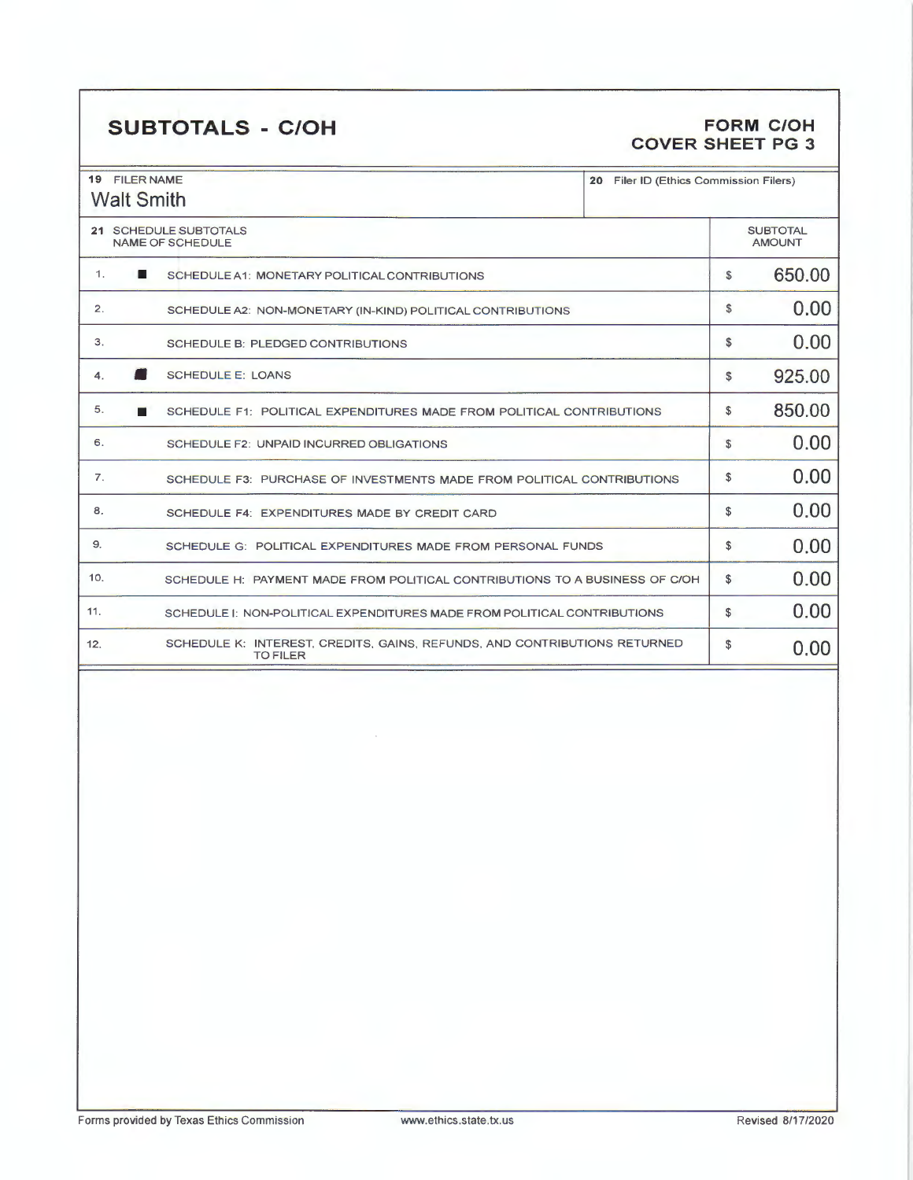## **SUBTOTALS** - **C/OH FORM C/OH**

## **COVER SHEET PG 3**

| <b>19 FILER NAME</b><br><b>Walt Smith</b>                                                           | 20 Filer ID (Ethics Commission Filers) |                                  |  |
|-----------------------------------------------------------------------------------------------------|----------------------------------------|----------------------------------|--|
| 21 SCHEDULE SUBTOTALS<br><b>NAME OF SCHEDULE</b>                                                    |                                        | <b>SUBTOTAL</b><br><b>AMOUNT</b> |  |
| $\mathbf{1}$ .<br>ш<br>SCHEDULE A1: MONETARY POLITICAL CONTRIBUTIONS                                | \$                                     | 650.00                           |  |
| 2.<br>SCHEDULE A2: NON-MONETARY (IN-KIND) POLITICAL CONTRIBUTIONS                                   | \$                                     | 0.00                             |  |
| 3.<br>SCHEDULE B: PLEDGED CONTRIBUTIONS                                                             | $\mathbb{S}$                           | 0.00                             |  |
| <b>SCHEDULE E: LOANS</b><br>$\overline{4}$ .                                                        | \$                                     | 925.00                           |  |
| 5.<br>SCHEDULE F1: POLITICAL EXPENDITURES MADE FROM POLITICAL CONTRIBUTIONS                         | \$                                     | 850.00                           |  |
| 6.<br>SCHEDULE F2: UNPAID INCURRED OBLIGATIONS                                                      | S                                      | 0.00                             |  |
| 7.<br>SCHEDULE F3: PURCHASE OF INVESTMENTS MADE FROM POLITICAL CONTRIBUTIONS                        | \$                                     | 0.00                             |  |
| 8.<br>SCHEDULE F4: EXPENDITURES MADE BY CREDIT CARD                                                 | \$                                     | 0.00                             |  |
| 9.<br>SCHEDULE G: POLITICAL EXPENDITURES MADE FROM PERSONAL FUNDS                                   | S                                      | 0.00                             |  |
| 10.<br>SCHEDULE H: PAYMENT MADE FROM POLITICAL CONTRIBUTIONS TO A BUSINESS OF C/OH                  | s                                      | 0.00                             |  |
| 11.<br>SCHEDULE I: NON-POLITICAL EXPENDITURES MADE FROM POLITICAL CONTRIBUTIONS                     | \$                                     | 0.00                             |  |
| SCHEDULE K: INTEREST, CREDITS, GAINS, REFUNDS, AND CONTRIBUTIONS RETURNED<br>12.<br><b>TO FILER</b> | \$                                     | 0.00                             |  |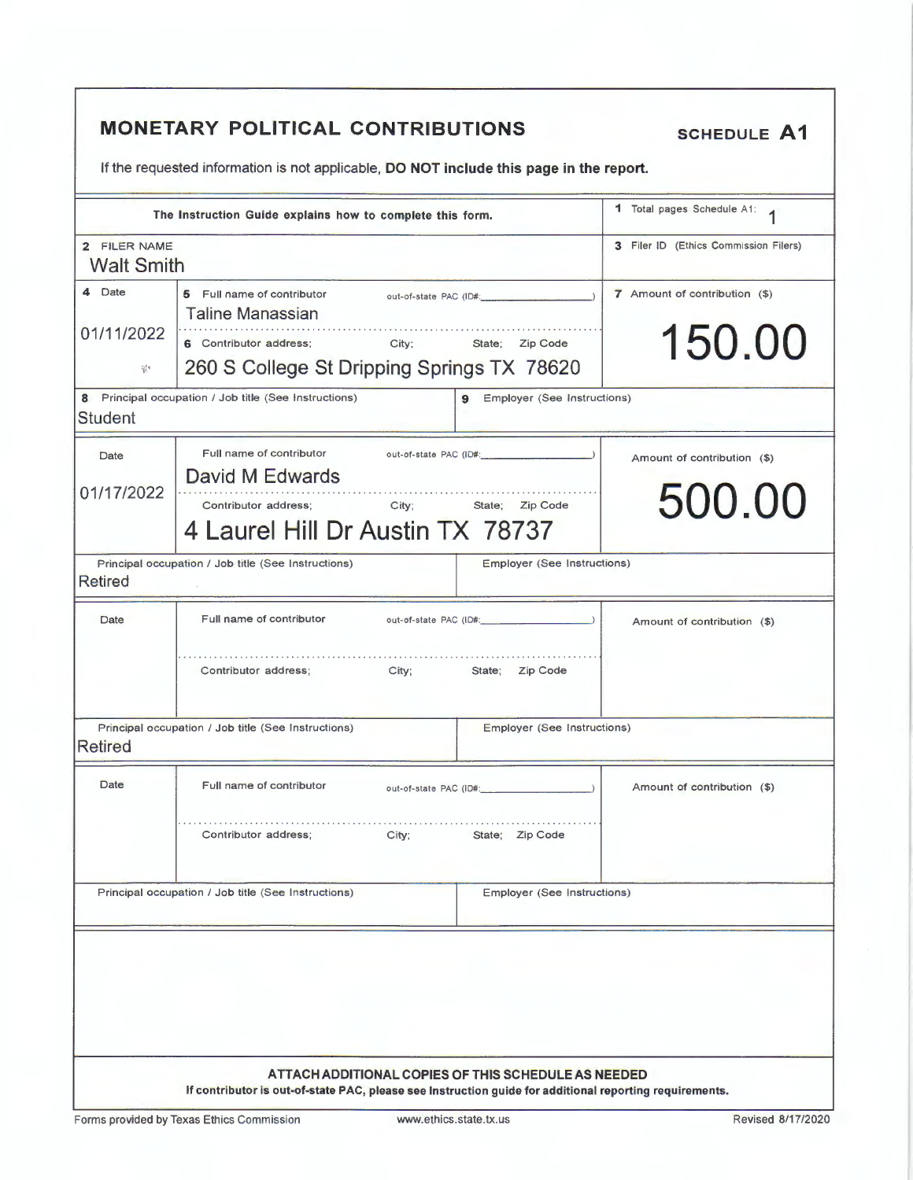|                   | The Instruction Guide explains how to complete this form.      |                                  | <b>1</b> Total pages Schedule A1:     |  |
|-------------------|----------------------------------------------------------------|----------------------------------|---------------------------------------|--|
| 2 FILER NAME      |                                                                |                                  | 3 Filer ID (Ethics Commission Filers) |  |
| <b>Walt Smith</b> |                                                                |                                  |                                       |  |
| 4 Date            | 5 Full name of contributor<br><b>Taline Manassian</b>          | out-of-state PAC (ID#:           | 7 Amount of contribution (\$)         |  |
| 01/11/2022        | 6 Contributor address;<br>City; State;<br>Zip Code             |                                  | 150.00                                |  |
| 花机                | 260 S College St Dripping Springs TX 78620                     |                                  |                                       |  |
| <b>Student</b>    | 8 Principal occupation / Job title (See Instructions)          | Employer (See Instructions)<br>9 |                                       |  |
| Date              | Full name of contributor                                       |                                  | Amount of contribution (\$)           |  |
| 01/17/2022        | David M Edwards                                                |                                  |                                       |  |
|                   | Contributor address: City:<br>4 Laurel Hill Dr Austin TX 78737 | State; Zip Code                  | 500.00                                |  |
| <b>Retired</b>    | Principal occupation / Job title (See Instructions)            | Employer (See Instructions)      |                                       |  |
| Date              | Full name of contributor                                       |                                  | Amount of contribution (\$)           |  |
|                   | Contributor address;                                           | City; State; Zip Code            |                                       |  |
| <b>Retired</b>    | Principal occupation / Job title (See Instructions)            | Employer (See Instructions)      |                                       |  |
| Date              | Full name of contributor<br>out-of-state PAC (ID#: 2000)       |                                  | Amount of contribution (\$)           |  |
|                   | Contributor address;<br>City;                                  | State; Zip Code                  |                                       |  |
|                   | Principal occupation / Job title (See Instructions)            | Employer (See Instructions)      |                                       |  |
|                   |                                                                |                                  |                                       |  |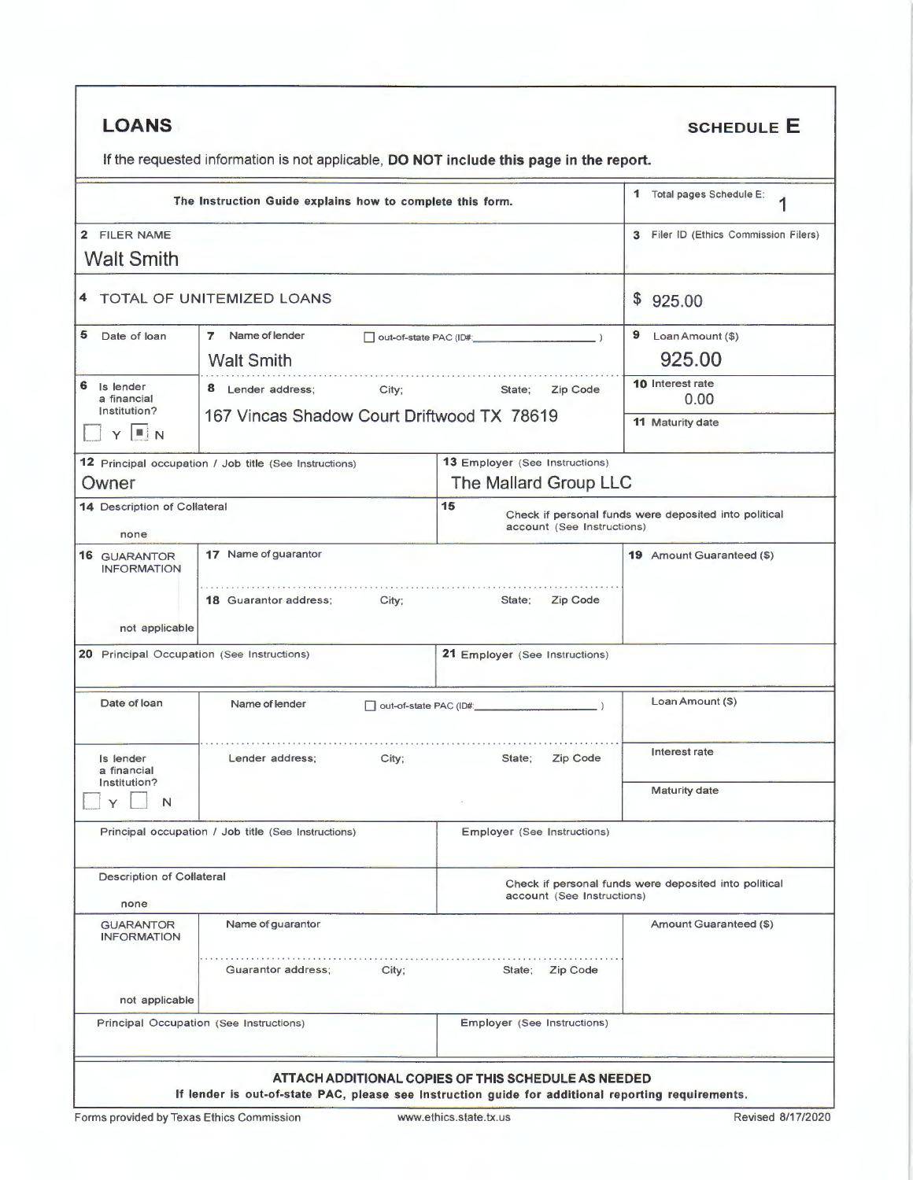| <b>LOANS</b> |
|--------------|
|--------------|

### **SCHEDULE E**

If the requested information is not applicable, DO NOT include this page in the report.

| The Instruction Guide explains how to complete this form. | Total pages Schedule E:<br>1                                                            |                                       |                                                       |  |
|-----------------------------------------------------------|-----------------------------------------------------------------------------------------|---------------------------------------|-------------------------------------------------------|--|
| 2 FILER NAME                                              |                                                                                         |                                       | 3 Filer ID (Ethics Commission Filers)                 |  |
| <b>Walt Smith</b>                                         |                                                                                         |                                       |                                                       |  |
|                                                           | 4 TOTAL OF UNITEMIZED LOANS                                                             |                                       | \$925.00                                              |  |
| 5<br>Date of loan                                         | Name of lender<br>$\overline{z}$<br>□ out-of-state PAC (ID#: 2000)<br><b>Walt Smith</b> |                                       | $9$ Loan Amount (\$)                                  |  |
|                                                           |                                                                                         |                                       | 925.00                                                |  |
| 6<br>Is lender<br>City;<br>8 Lender address;              |                                                                                         | State;<br>Zip Code                    | 10 Interest rate                                      |  |
| a financial<br>Institution?                               |                                                                                         |                                       | 0.00                                                  |  |
| $\blacksquare$ in N                                       | 167 Vincas Shadow Court Driftwood TX 78619                                              |                                       | 11 Maturity date                                      |  |
|                                                           | 12 Principal occupation / Job title (See Instructions)                                  | <b>13 Employer (See Instructions)</b> |                                                       |  |
| Owner                                                     |                                                                                         | The Mallard Group LLC                 |                                                       |  |
| 14 Description of Collateral                              |                                                                                         | 15                                    | Check if personal funds were deposited into political |  |
| none                                                      |                                                                                         | account (See Instructions)            |                                                       |  |
| <b>16 GUARANTOR</b><br><b>INFORMATION</b>                 | 17 Name of guarantor                                                                    |                                       | <b>19</b> Amount Guaranteed (\$)                      |  |
|                                                           |                                                                                         |                                       |                                                       |  |
|                                                           | <b>18 Guarantor address;</b><br>City;                                                   | Zip Code<br>State;                    |                                                       |  |
| not applicable                                            |                                                                                         |                                       |                                                       |  |
|                                                           | 20 Principal Occupation (See Instructions)                                              | <b>21 Employer (See Instructions)</b> |                                                       |  |
| Date of loan                                              | Name of lender                                                                          | out-of-state PAC (ID#:                | Loan Amount (\$)                                      |  |
| Is lender<br>a financial                                  | Lender address;<br>City;                                                                | Zip Code<br>State;                    | Interest rate                                         |  |
| Institution?<br>N                                         |                                                                                         |                                       | <b>Maturity date</b>                                  |  |
|                                                           | Principal occupation / Job title (See Instructions)                                     | Employer (See Instructions)           |                                                       |  |
| <b>Description of Collateral</b>                          |                                                                                         |                                       | Check if personal funds were deposited into political |  |
| none                                                      |                                                                                         | account (See Instructions)            |                                                       |  |
| <b>GUARANTOR</b><br><b>INFORMATION</b>                    | Name of guarantor                                                                       |                                       | Amount Guaranteed (\$)                                |  |
|                                                           | Guarantor address;<br>City;                                                             | State; Zip Code                       |                                                       |  |
| not applicable                                            |                                                                                         |                                       |                                                       |  |
|                                                           | Principal Occupation (See Instructions)                                                 | Employer (See Instructions)           |                                                       |  |